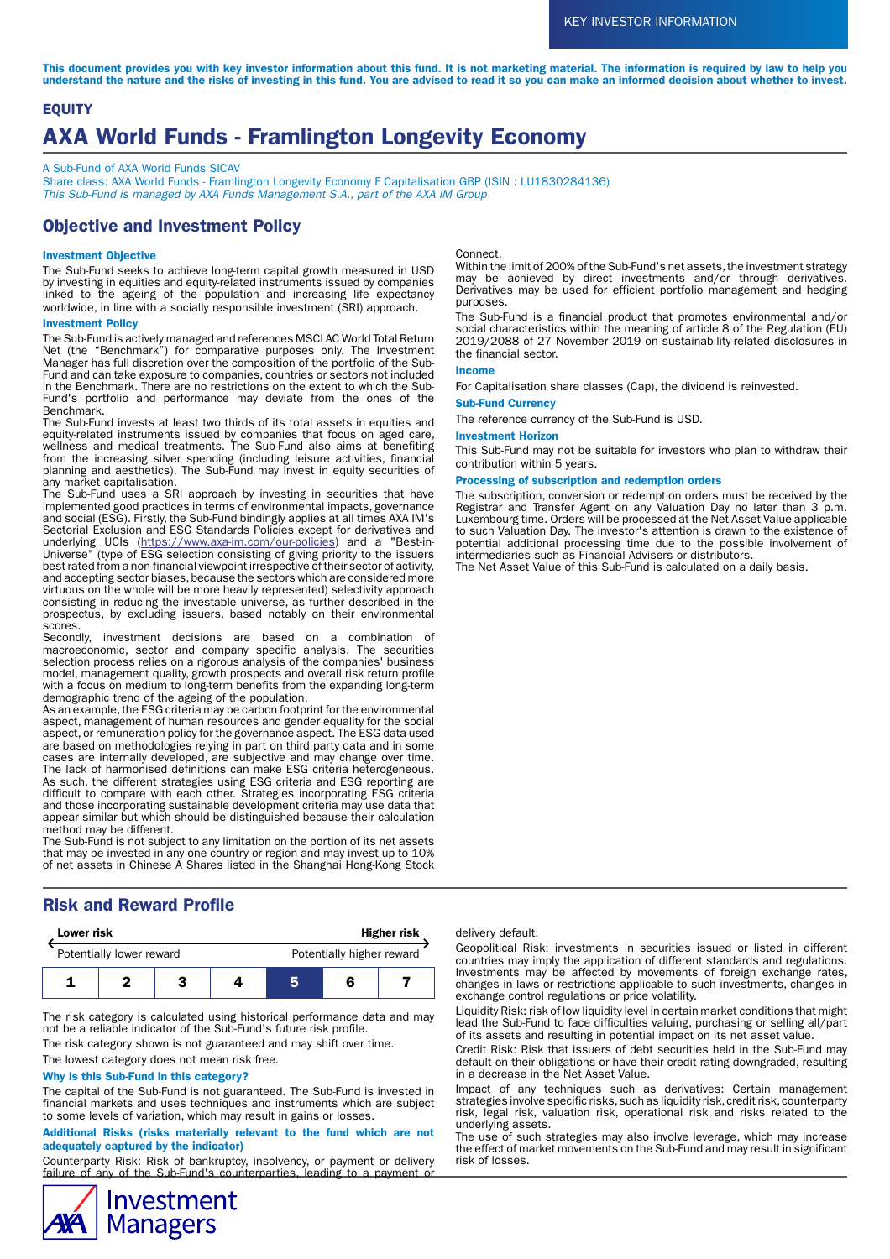This document provides you with key investor information about this fund. It is not marketing material. The information is required by law to help you understand the nature and the risks of investing in this fund. You are advised to read it so you can make an informed decision about whether to invest.

# **EQUITY** AXA World Funds - Framlington Longevity Economy

A Sub-Fund of AXA World Funds SICAV

Share class: AXA World Funds - Framlington Longevity Economy F Capitalisation GBP (ISIN: LU1830284136) This Sub-Fund is managed by AXA Funds Management S.A., part of the AXA IM Group

# Objective and Investment Policy

### Investment Objective

The Sub-Fund seeks to achieve long-term capital growth measured in USD by investing in equities and equity-related instruments issued by companies linked to the ageing of the population and increasing life expectancy worldwide, in line with a socially responsible investment (SRI) approach.

#### Investment Policy

The Sub-Fund is actively managed and references MSCI AC World Total Return Net (the "Benchmark") for comparative purposes only. The Investment Manager has full discretion over the composition of the portfolio of the Sub-Fund and can take exposure to companies, countries or sectors not included in the Benchmark. There are no restrictions on the extent to which the Sub-Fund's portfolio and performance may deviate from the ones of the Benchmark.

The Sub-Fund invests at least two thirds of its total assets in equities and equity-related instruments issued by companies that focus on aged care, wellness and medical treatments. The Sub-Fund also aims at benefiting from the increasing silver spending (including leisure activities, financial planning and aesthetics). The Sub-Fund may invest in equity securities of any market capitalisation.

The Sub-Fund uses a SRI approach by investing in securities that have implemented good practices in terms of environmental impacts, governance and social (ESG). Firstly, the Sub-Fund bindingly applies at all times AXA IM's Sectorial Exclusion and ESG Standards Policies except for derivatives and underlying UCIs (<u>https://www.axa-im.com/our-policies</u>) and a "Best-in-Universe" (type of ESG selection consisting of giving priority to the issuers best rated from a non-financial viewpoint irrespective of their sector of activity, and accepting sector biases, because the sectors which are considered more virtuous on the whole will be more heavily represented) selectivity approach consisting in reducing the investable universe, as further described in the prospectus, by excluding issuers, based notably on their environmental scores.

Secondly, investment decisions are based on a combination of macroeconomic, sector and company specific analysis. The securities selection process relies on a rigorous analysis of the companies' business model, management quality, growth prospects and overall risk return profile with a focus on medium to long-term benefits from the expanding long-term demographic trend of the ageing of the population.

As an example, the ESG criteria may be carbon footprint for the environmental aspect, management of human resources and gender equality for the social aspect, or remuneration policy for the governance aspect. The ESG data used are based on methodologies relying in part on third party data and in some cases are internally developed, are subjective and may change over time. The lack of harmonised definitions can make ESG criteria heterogeneous. As such, the different strategies using ESG criteria and ESG reporting are difficult to compare with each other. Strategies incorporating ESG criteria and those incorporating sustainable development criteria may use data that appear similar but which should be distinguished because their calculation method may be different.

The Sub-Fund is not subject to any limitation on the portion of its net assets that may be invested in any one country or region and may invest up to 10% of net assets in Chinese A Shares listed in the Shanghai Hong-Kong Stock

# Risk and Reward Profile

| Lower risk               |  |  | <b>Higher risk</b> |                           |  |  |
|--------------------------|--|--|--------------------|---------------------------|--|--|
| Potentially lower reward |  |  |                    | Potentially higher reward |  |  |
|                          |  |  |                    |                           |  |  |

The risk category is calculated using historical performance data and may not be a reliable indicator of the Sub-Fund's future risk profile.

The risk category shown is not guaranteed and may shift over time.

The lowest category does not mean risk free.

#### Why is this Sub-Fund in this category?

The capital of the Sub-Fund is not guaranteed. The Sub-Fund is invested in financial markets and uses techniques and instruments which are subject to some levels of variation, which may result in gains or losses.

Additional Risks (risks materially relevant to the fund which are not adequately captured by the indicator)

Counterparty Risk: Risk of bankruptcy, insolvency, or payment or delivery failure of any of the Sub-Fund's counterparties, leading to a payment or



#### Connect.

Within the limit of 200% of the Sub-Fund's net assets, the investment strategy may be achieved by direct investments and/or through derivatives. Derivatives may be used for efficient portfolio management and hedging purposes.

The Sub-Fund is a financial product that promotes environmental and/or social characteristics within the meaning of article 8 of the Regulation (EU) 2019/2088 of 27 November 2019 on sustainability-related disclosures in the financial sector.

### Income

For Capitalisation share classes (Cap), the dividend is reinvested.

### Sub-Fund Currency

The reference currency of the Sub-Fund is USD.

### Investment Horizon

This Sub-Fund may not be suitable for investors who plan to withdraw their contribution within 5 years.

#### Processing of subscription and redemption orders

The subscription, conversion or redemption orders must be received by the Registrar and Transfer Agent on any Valuation Day no later than 3 p.m. Luxembourg time. Orders will be processed at the Net Asset Value applicable to such Valuation Day. The investor's attention is drawn to the existence of potential additional processing time due to the possible involvement of intermediaries such as Financial Advisers or distributors.

The Net Asset Value of this Sub-Fund is calculated on a daily basis.

#### delivery default.

Geopolitical Risk: investments in securities issued or listed in different countries may imply the application of different standards and regulations. Investments may be affected by movements of foreign exchange rates, changes in laws or restrictions applicable to such investments, changes in exchange control regulations or price volatility.

Liquidity Risk: risk of low liquidity level in certain market conditions that might lead the Sub-Fund to face difficulties valuing, purchasing or selling all/part of its assets and resulting in potential impact on its net asset value.

Credit Risk: Risk that issuers of debt securities held in the Sub-Fund may default on their obligations or have their credit rating downgraded, resulting in a decrease in the Net Asset Value.

Impact of any techniques such as derivatives: Certain management strategies involve specific risks, such as liquidity risk, credit risk, counterparty risk, legal risk, valuation risk, operational risk and risks related to the underlying assets.

The use of such strategies may also involve leverage, which may increase the effect of market movements on the Sub-Fund and may result in significant risk of losses.